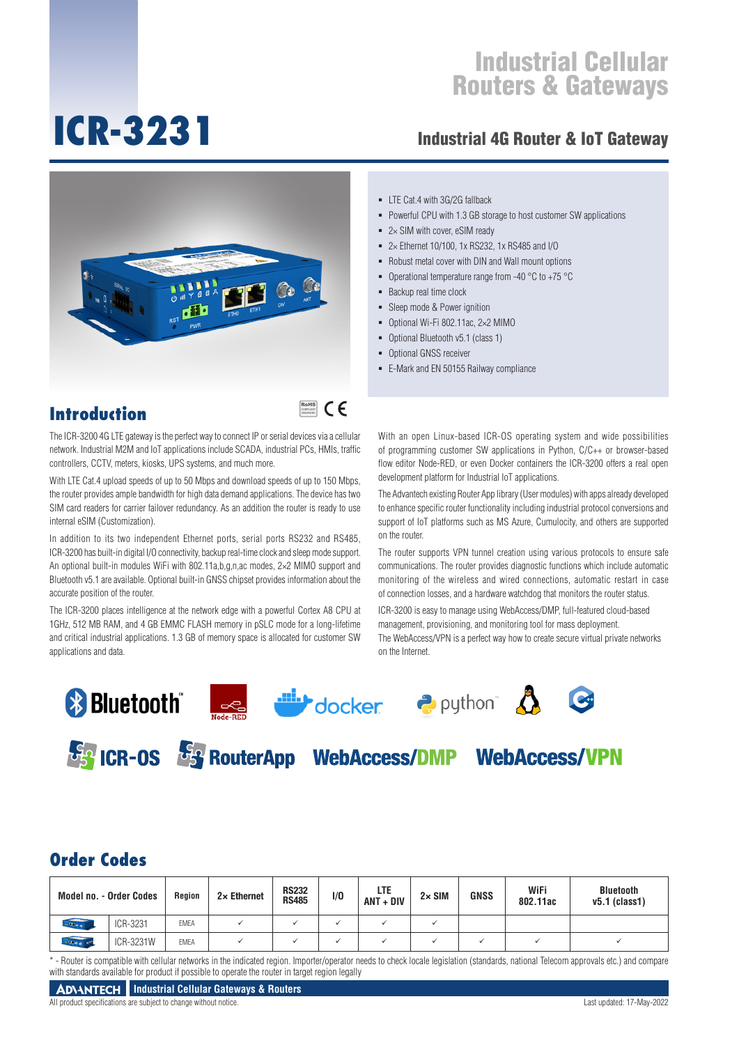# **ICR-3231**

### Industrial 4G Router & IoT Gateway



- $\blacksquare$  LTE Cat.4 with 3G/2G fallback
- **Powerful CPU with 1.3 GB storage to host customer SW applications**
- $= 2 \times$  SIM with cover, eSIM ready
- 2× Ethernet 10/100, 1x RS232, 1x RS485 and I/O
- Robust metal cover with DIN and Wall mount options
- Operational temperature range from -40  $^{\circ}$ C to +75  $^{\circ}$ C
- Backup real time clock
- Sleep mode & Power ignition
- Optional Wi-Fi 802.11ac, 2×2 MIMO
- Optional Bluetooth v5.1 (class 1)
- **Optional GNSS receiver**
- E-Mark and EN 50155 Railway compliance

### **Introduction**

### RoHS **COMPLIANT** 2002/95/EC

The ICR-3200 4G LTE gateway is the perfect way to connect IP or serial devices via a cellular network. Industrial M2M and IoT applications include SCADA, industrial PCs, HMIs, traffic controllers, CCTV, meters, kiosks, UPS systems, and much more.

With LTE Cat.4 upload speeds of up to 50 Mbps and download speeds of up to 150 Mbps, the router provides ample bandwidth for high data demand applications. The device has two SIM card readers for carrier failover redundancy. As an addition the router is ready to use internal eSIM (Customization).

In addition to its two independent Ethernet ports, serial ports RS232 and RS485, ICR-3200 has built-in digital I/O connectivity, backup real-time clock and sleep mode support. An optional built-in modules WiFi with 802.11a,b,g,n,ac modes, 2×2 MIMO support and Bluetooth v5.1 are available. Optional built-in GNSS chipset provides information about the accurate position of the router.

The ICR-3200 places intelligence at the network edge with a powerful Cortex A8 CPU at 1GHz, 512 MB RAM, and 4 GB EMMC FLASH memory in pSLC mode for a long-lifetime and critical industrial applications. 1.3 GB of memory space is allocated for customer SW applications and data.

With an open Linux-based ICR-OS operating system and wide possibilities of programming customer SW applications in Python, C/C++ or browser-based flow editor Node-RED, or even Docker containers the ICR-3200 offers a real open development platform for Industrial IoT applications.

The Advantech existing Router App library (User modules) with apps already developed to enhance specific router functionality including industrial protocol conversions and support of IoT platforms such as MS Azure, Cumulocity, and others are supported on the router.

The router supports VPN tunnel creation using various protocols to ensure safe communications. The router provides diagnostic functions which include automatic monitoring of the wireless and wired connections, automatic restart in case of connection losses, and a hardware watchdog that monitors the router status.

ICR-3200 is easy to manage using WebAccess/DMP, full-featured cloud-based management, provisioning, and monitoring tool for mass deployment. The WebAccess/VPN is a perfect way how to create secure virtual private networks on the Internet.













### **Order Codes**

| <b>Model no. - Order Codes</b> |           | Region      | $2 \times$ Ethernet | <b>RS232</b><br><b>RS485</b> | 1/0 | LTE<br>$ANT + DIV$ | $2 \times$ SIM | <b>GNSS</b> | WiFi<br>802.11ac | <b>Bluetooth</b><br>$v5.1$ (class1) |
|--------------------------------|-----------|-------------|---------------------|------------------------------|-----|--------------------|----------------|-------------|------------------|-------------------------------------|
| <b>GRANT</b>                   | ICR-3231  | <b>EMEA</b> |                     |                              |     |                    |                |             |                  |                                     |
| $-00a0$                        | ICR-3231W | <b>EMEA</b> |                     |                              |     |                    |                |             |                  |                                     |

\*-Router is compatible with cellular networks in the indicated region. Importer/operator needs to check locale legislation (standards, national Telecom approvals etc.) and compare with standards available for product if possible to operate the router in target region legally

All product specifications are subject to change without notice. Last updated: 17-May-2022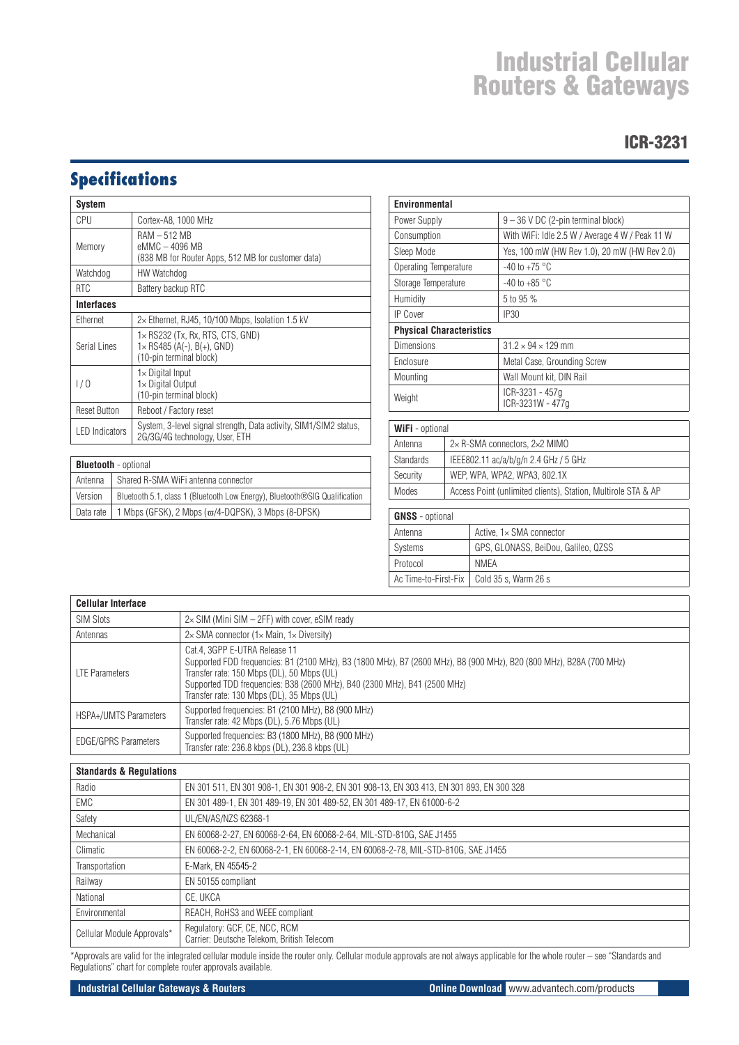### ICR-3231

# **Specifications**

| <b>System</b>         |                                                                                                          |
|-----------------------|----------------------------------------------------------------------------------------------------------|
| CPU                   | Cortex-A8, 1000 MHz                                                                                      |
| Memory                | $RAM - 512 MB$<br>eMMC - 4096 MB<br>(838 MB for Router Apps, 512 MB for customer data)                   |
| Watchdog              | HW Watchdog                                                                                              |
| <b>RTC</b>            | Battery backup RTC                                                                                       |
| <b>Interfaces</b>     |                                                                                                          |
| Ethernet              | $2\times$ Ethernet, RJ45, 10/100 Mbps, Isolation 1.5 kV                                                  |
| Serial Lines          | $1\times$ RS232 (Tx, Rx, RTS, CTS, GND)<br>$1 \times$ RS485 (A(-), B(+), GND)<br>(10-pin terminal block) |
| 1/0                   | $1\times$ Digital Input<br>1× Digital Output<br>(10-pin terminal block)                                  |
| <b>Reset Button</b>   | Reboot / Factory reset                                                                                   |
| <b>LED</b> Indicators | System, 3-level signal strength, Data activity, SIM1/SIM2 status,<br>2G/3G/4G technology, User, ETH      |

| <b>Bluetooth</b> - optional |                                                                            |  |  |  |
|-----------------------------|----------------------------------------------------------------------------|--|--|--|
| Antenna                     | Shared R-SMA WiFi antenna connector                                        |  |  |  |
| Version                     | Bluetooth 5.1, class 1 (Bluetooth Low Energy), Bluetooth®SIG Qualification |  |  |  |
| Data rate                   | 1 Mbps (GFSK), 2 Mbps ( $\varpi$ /4-DQPSK), 3 Mbps (8-DPSK)                |  |  |  |

| <b>Environmental</b>            |                                                 |  |  |  |
|---------------------------------|-------------------------------------------------|--|--|--|
| Power Supply                    | $9 - 36$ V DC (2-pin terminal block)            |  |  |  |
| Consumption                     | With WiFi: Idle 2.5 W / Average 4 W / Peak 11 W |  |  |  |
| Sleep Mode                      | Yes, 100 mW (HW Rev 1.0), 20 mW (HW Rev 2.0)    |  |  |  |
| Operating Temperature           | $-40$ to $+75$ °C                               |  |  |  |
| Storage Temperature             | -40 to +85 $^{\circ}$ C                         |  |  |  |
| Humidity                        | 5 to 95 %                                       |  |  |  |
| <b>IP Cover</b>                 | <b>IP30</b>                                     |  |  |  |
| <b>Physical Characteristics</b> |                                                 |  |  |  |
| <b>Dimensions</b>               | $31.2 \times 94 \times 129$ mm                  |  |  |  |
| Enclosure                       | Metal Case, Grounding Screw                     |  |  |  |
| Mounting                        | Wall Mount kit, DIN Rail                        |  |  |  |
| Weight                          | ICR-3231 - 457q<br>ICR-3231W - 477q             |  |  |  |

| <b>WiFi</b> - optional |                                                               |  |  |  |
|------------------------|---------------------------------------------------------------|--|--|--|
| Antenna                | $2\times$ R-SMA connectors, $2\times2$ MIMO                   |  |  |  |
| <b>Standards</b>       | IEEE802.11 ac/a/b/g/n 2.4 GHz / 5 GHz                         |  |  |  |
| Security               | WEP. WPA. WPA2. WPA3. 802.1X                                  |  |  |  |
| Modes                  | Access Point (unlimited clients), Station, Multirole STA & AP |  |  |  |
|                        |                                                               |  |  |  |

| <b>GNSS</b> - optional |                                             |  |  |
|------------------------|---------------------------------------------|--|--|
| Antenna                | Active, 1x SMA connector                    |  |  |
| <b>Systems</b>         | GPS, GLONASS, BeiDou, Galileo, QZSS         |  |  |
| Protocol               | NMFA                                        |  |  |
|                        | Ac Time-to-First-Fix   Cold 35 s, Warm 26 s |  |  |

| <b>Cellular Interface</b>    |                                                                                                                                                                                                                                                                                                                               |
|------------------------------|-------------------------------------------------------------------------------------------------------------------------------------------------------------------------------------------------------------------------------------------------------------------------------------------------------------------------------|
| <b>SIM Slots</b>             | $2\times$ SIM (Mini SIM $-$ 2FF) with cover, eSIM ready                                                                                                                                                                                                                                                                       |
| Antennas                     | $2\times$ SMA connector (1 $\times$ Main, 1 $\times$ Diversity)                                                                                                                                                                                                                                                               |
| <b>LTE Parameters</b>        | Cat.4, 3GPP E-UTRA Release 11<br>Supported FDD frequencies: B1 (2100 MHz), B3 (1800 MHz), B7 (2600 MHz), B8 (900 MHz), B20 (800 MHz), B28A (700 MHz)<br>Transfer rate: 150 Mbps (DL), 50 Mbps (UL)<br>Supported TDD frequencies: B38 (2600 MHz), B40 (2300 MHz), B41 (2500 MHz)<br>Transfer rate: 130 Mbps (DL), 35 Mbps (UL) |
| <b>HSPA+/UMTS Parameters</b> | Supported frequencies: B1 (2100 MHz), B8 (900 MHz)<br>Transfer rate: 42 Mbps (DL), 5.76 Mbps (UL)                                                                                                                                                                                                                             |
| <b>EDGE/GPRS Parameters</b>  | Supported frequencies: B3 (1800 MHz), B8 (900 MHz)<br>Transfer rate: 236.8 kbps (DL), 236.8 kbps (UL)                                                                                                                                                                                                                         |

| <b>Standards &amp; Requiations</b> |                                                                                           |  |  |  |  |
|------------------------------------|-------------------------------------------------------------------------------------------|--|--|--|--|
| Radio                              | EN 301 511, EN 301 908-1, EN 301 908-2, EN 301 908-13, EN 303 413, EN 301 893, EN 300 328 |  |  |  |  |
| EMC                                | EN 301 489-1, EN 301 489-19, EN 301 489-52, EN 301 489-17, EN 61000-6-2                   |  |  |  |  |
| Safety                             | UL/EN/AS/NZS 62368-1                                                                      |  |  |  |  |
| Mechanical                         | EN 60068-2-27, EN 60068-2-64, EN 60068-2-64, MIL-STD-810G, SAE J1455                      |  |  |  |  |
| Climatic                           | EN 60068-2-2, EN 60068-2-1, EN 60068-2-14, EN 60068-2-78, MIL-STD-810G, SAE J1455         |  |  |  |  |
| Transportation                     | E-Mark, EN 45545-2                                                                        |  |  |  |  |
| Railway                            | EN 50155 compliant                                                                        |  |  |  |  |
| National                           | CE. UKCA                                                                                  |  |  |  |  |
| Environmental                      | REACH, RoHS3 and WEEE compliant                                                           |  |  |  |  |
| Cellular Module Approvals*         | Regulatory: GCF, CE, NCC, RCM<br>Carrier: Deutsche Telekom, British Telecom               |  |  |  |  |

\*Approvals are valid for the integrated cellular module inside the router only. Cellular module approvals are not always applicable for the whole router – see "Standards and Regulations" chart for complete router approvals available.

### **Industrial Cellular Gateways & Routers Constrained and Cellular Gateways & Routers Constrained and Cellular Gateways & Routers Constrained and Cellular Gateways & Routers**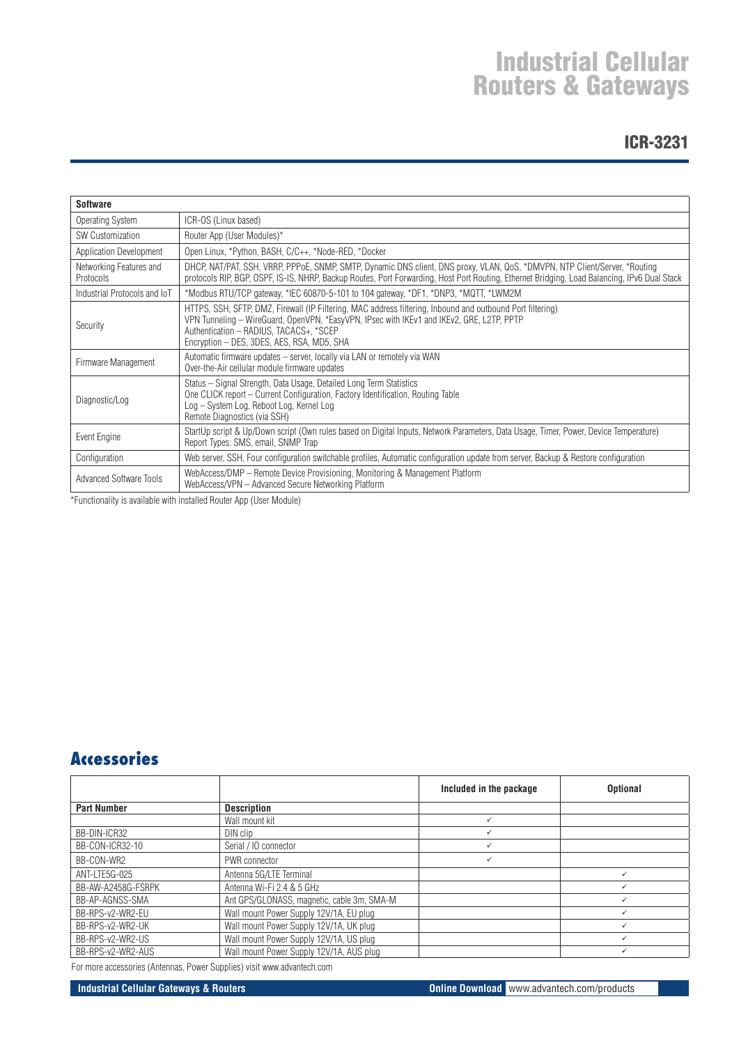### ICR-3231

| <b>Software</b>                      |                                                                                                                                                                                                                                                                                                  |
|--------------------------------------|--------------------------------------------------------------------------------------------------------------------------------------------------------------------------------------------------------------------------------------------------------------------------------------------------|
| Operating System                     | ICR-OS (Linux based)                                                                                                                                                                                                                                                                             |
| <b>SW Customization</b>              | Router App (User Modules)*                                                                                                                                                                                                                                                                       |
| Application Development              | Open Linux, *Python, BASH, C/C++, *Node-RED, *Docker                                                                                                                                                                                                                                             |
| Networking Features and<br>Protocols | DHCP, NAT/PAT, SSH, VRRP, PPPoE, SNMP, SMTP, Dynamic DNS client, DNS proxy, VLAN, QoS, *DMVPN, NTP Client/Server, *Routing<br>protocols RIP, BGP, OSPF, IS-IS, NHRP, Backup Routes, Port Forwarding, Host Port Routing, Ethernet Bridging, Load Balancing, IPv6 Dual Stack                       |
| Industrial Protocols and IoT         | *Modbus RTU/TCP gateway, *IEC 60870-5-101 to 104 gateway, *DF1, *DNP3, *MQTT, *LWM2M                                                                                                                                                                                                             |
| Security                             | HTTPS, SSH, SFTP, DMZ, Firewall (IP Filtering, MAC address filtering, Inbound and outbound Port filtering)<br>VPN Tunneling - WireGuard, OpenVPN, *EasyVPN, IPsec with IKEv1 and IKEv2, GRE, L2TP, PPTP<br>Authentication - RADIUS, TACACS+, *SCEP<br>Encryption - DES, 3DES, AES, RSA, MD5, SHA |
| Firmware Management                  | Automatic firmware updates - server, locally via LAN or remotely via WAN<br>Over-the-Air cellular module firmware updates                                                                                                                                                                        |
| Diagnostic/Log                       | Status – Signal Strength, Data Usage, Detailed Long Term Statistics<br>One CLICK report – Current Configuration, Factory Identification, Routing Table<br>Log - System Log, Reboot Log, Kernel Log<br>Remote Diagnostics (via SSH)                                                               |
| Event Engine                         | StartUp script & Up/Down script (Own rules based on Digital Inputs, Network Parameters, Data Usage, Timer, Power, Device Temperature)<br>Report Types: SMS, email, SNMP Trap                                                                                                                     |
| Configuration                        | Web server, SSH, Four configuration switchable profiles, Automatic configuration update from server, Backup & Restore configuration                                                                                                                                                              |
| <b>Advanced Software Tools</b>       | WebAccess/DMP - Remote Device Provisioning, Monitoring & Management Platform<br>WebAccess/VPN - Advanced Secure Networking Platform                                                                                                                                                              |

\*Functionality is available with installed Router App (User Module)

### **Accessories**

|                    |                                            | Included in the package | <b>Optional</b> |
|--------------------|--------------------------------------------|-------------------------|-----------------|
| <b>Part Number</b> | <b>Description</b>                         |                         |                 |
|                    | Wall mount kit                             | ✓                       |                 |
| BB-DIN-ICR32       | DIN clip                                   | ✓                       |                 |
| BB-CON-ICR32-10    | Serial / 10 connector                      | ✓                       |                 |
| BB-CON-WR2         | PWR connector                              | ✓                       |                 |
| ANT-LTE5G-025      | Antenna 5G/LTE Terminal                    |                         |                 |
| BB-AW-A2458G-FSRPK | Antenna Wi-Fi 2.4 & 5 GHz                  |                         |                 |
| BB-AP-AGNSS-SMA    | Ant GPS/GLONASS, magnetic, cable 3m, SMA-M |                         |                 |
| BB-RPS-v2-WR2-EU   | Wall mount Power Supply 12V/1A, EU plug    |                         |                 |
| BB-RPS-v2-WR2-UK   | Wall mount Power Supply 12V/1A, UK plug    |                         |                 |
| BB-RPS-v2-WR2-US   | Wall mount Power Supply 12V/1A, US plug    |                         |                 |
| BB-RPS-v2-WR2-AUS  | Wall mount Power Supply 12V/1A, AUS plug   |                         |                 |

For more accessories (Antennas, Power Supplies) visit www.advantech.com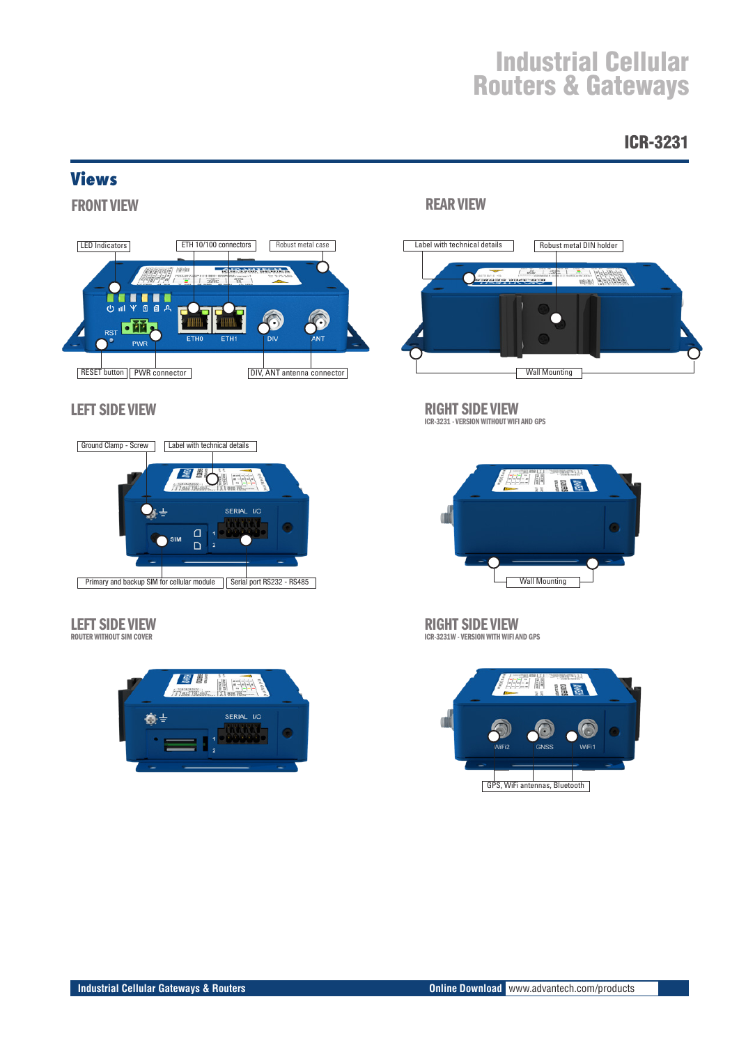### ICR-3231

### **Views**

FRONT VIEW



### LEFT SIDE VIEW



### LEFT SIDE VIEW

ROUTER WITHOUT SIM COVER



### REAR VIEW



### RIGHT SIDE VIEW

ICR-3231 - VERSION WITHOUT WIFI AND GPS



RIGHT SIDE VIEW ICR-3231W - VERSION WITH WIFI AND GPS

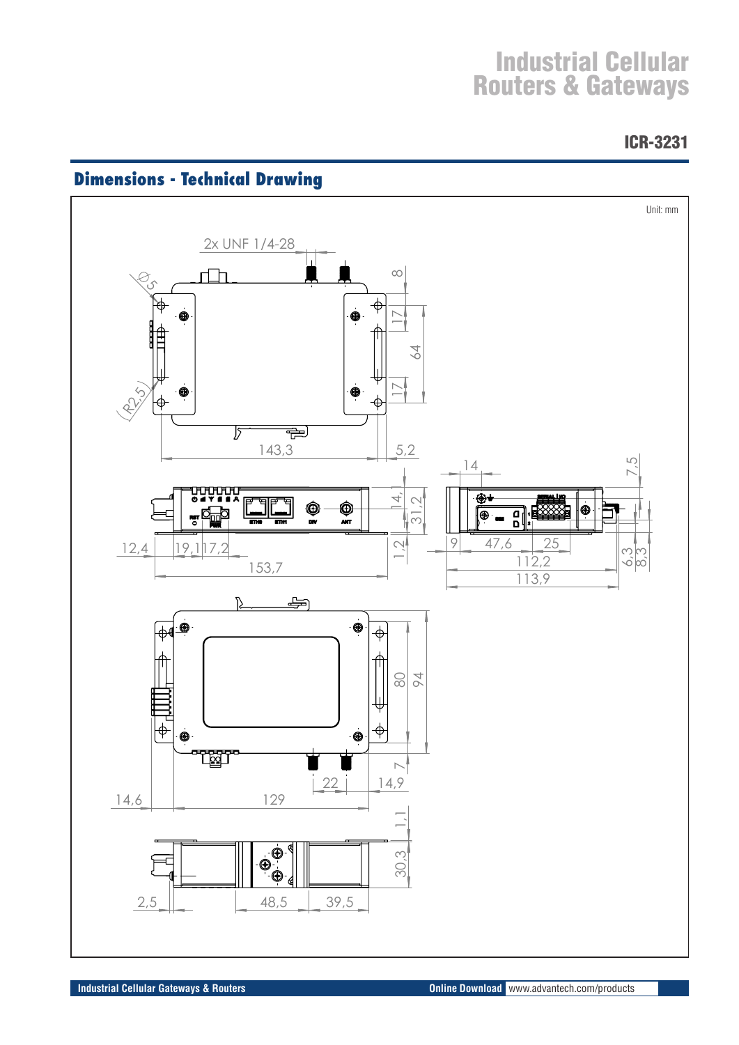ICR-3231



# **Dimensions - Technical Drawing**